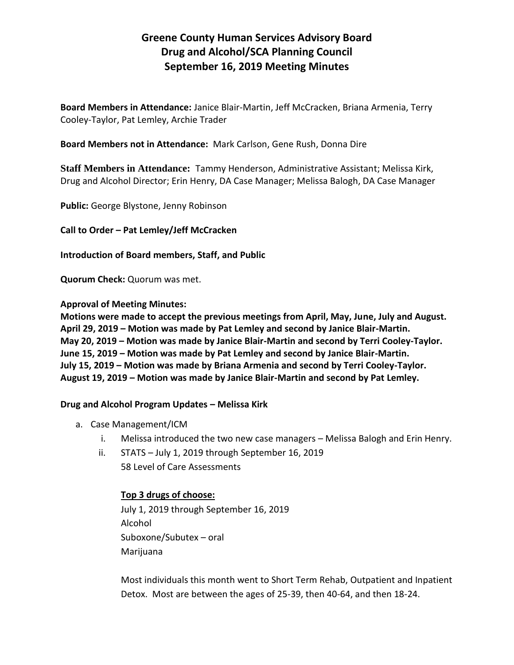# **Greene County Human Services Advisory Board Drug and Alcohol/SCA Planning Council September 16, 2019 Meeting Minutes**

**Board Members in Attendance:** Janice Blair-Martin, Jeff McCracken, Briana Armenia, Terry Cooley-Taylor, Pat Lemley, Archie Trader

**Board Members not in Attendance:** Mark Carlson, Gene Rush, Donna Dire

**Staff Members in Attendance:** Tammy Henderson, Administrative Assistant; Melissa Kirk, Drug and Alcohol Director; Erin Henry, DA Case Manager; Melissa Balogh, DA Case Manager

**Public:** George Blystone, Jenny Robinson

**Call to Order – Pat Lemley/Jeff McCracken**

**Introduction of Board members, Staff, and Public**

**Quorum Check:** Quorum was met.

**Approval of Meeting Minutes:**

**Motions were made to accept the previous meetings from April, May, June, July and August. April 29, 2019 – Motion was made by Pat Lemley and second by Janice Blair-Martin. May 20, 2019 – Motion was made by Janice Blair-Martin and second by Terri Cooley-Taylor. June 15, 2019 – Motion was made by Pat Lemley and second by Janice Blair-Martin. July 15, 2019 – Motion was made by Briana Armenia and second by Terri Cooley-Taylor. August 19, 2019 – Motion was made by Janice Blair-Martin and second by Pat Lemley.**

## **Drug and Alcohol Program Updates – Melissa Kirk**

- a. Case Management/ICM
	- i. Melissa introduced the two new case managers Melissa Balogh and Erin Henry.
	- ii. STATS July 1, 2019 through September 16, 2019 58 Level of Care Assessments

## **Top 3 drugs of choose:**

July 1, 2019 through September 16, 2019 Alcohol Suboxone/Subutex – oral Marijuana

Most individuals this month went to Short Term Rehab, Outpatient and Inpatient Detox. Most are between the ages of 25-39, then 40-64, and then 18-24.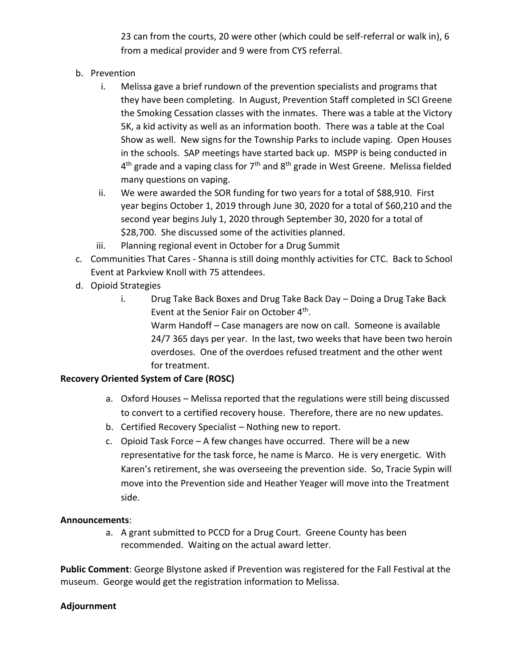23 can from the courts, 20 were other (which could be self-referral or walk in), 6 from a medical provider and 9 were from CYS referral.

- b. Prevention
	- i. Melissa gave a brief rundown of the prevention specialists and programs that they have been completing. In August, Prevention Staff completed in SCI Greene the Smoking Cessation classes with the inmates. There was a table at the Victory 5K, a kid activity as well as an information booth. There was a table at the Coal Show as well. New signs for the Township Parks to include vaping. Open Houses in the schools. SAP meetings have started back up. MSPP is being conducted in  $4<sup>th</sup>$  grade and a vaping class for 7<sup>th</sup> and 8<sup>th</sup> grade in West Greene. Melissa fielded many questions on vaping.
	- ii. We were awarded the SOR funding for two years for a total of \$88,910. First year begins October 1, 2019 through June 30, 2020 for a total of \$60,210 and the second year begins July 1, 2020 through September 30, 2020 for a total of \$28,700. She discussed some of the activities planned.
	- iii. Planning regional event in October for a Drug Summit
- c. Communities That Cares Shanna is still doing monthly activities for CTC. Back to School Event at Parkview Knoll with 75 attendees.
- d. Opioid Strategies
	- i. Drug Take Back Boxes and Drug Take Back Day Doing a Drug Take Back Event at the Senior Fair on October 4<sup>th</sup>. Warm Handoff – Case managers are now on call. Someone is available 24/7 365 days per year. In the last, two weeks that have been two heroin overdoses. One of the overdoes refused treatment and the other went for treatment.

## **Recovery Oriented System of Care (ROSC)**

- a. Oxford Houses Melissa reported that the regulations were still being discussed to convert to a certified recovery house. Therefore, there are no new updates.
- b. Certified Recovery Specialist Nothing new to report.
- c. Opioid Task Force A few changes have occurred. There will be a new representative for the task force, he name is Marco. He is very energetic. With Karen's retirement, she was overseeing the prevention side. So, Tracie Sypin will move into the Prevention side and Heather Yeager will move into the Treatment side.

## **Announcements**:

a. A grant submitted to PCCD for a Drug Court. Greene County has been recommended. Waiting on the actual award letter.

**Public Comment**: George Blystone asked if Prevention was registered for the Fall Festival at the museum. George would get the registration information to Melissa.

## **Adjournment**